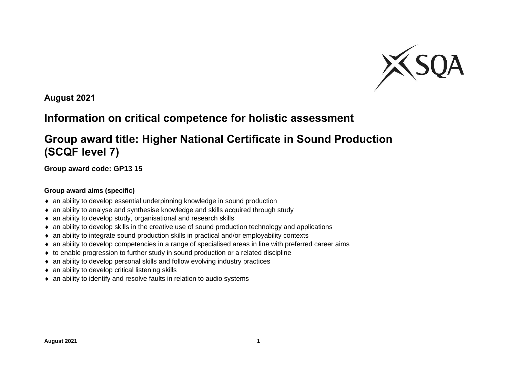

**August 2021**

## **Information on critical competence for holistic assessment**

## **Group award title: Higher National Certificate in Sound Production (SCQF level 7)**

**Group award code: GP13 15**

## **Group award aims (specific)**

- an ability to develop essential underpinning knowledge in sound production
- an ability to analyse and synthesise knowledge and skills acquired through study
- an ability to develop study, organisational and research skills
- an ability to develop skills in the creative use of sound production technology and applications
- an ability to integrate sound production skills in practical and/or employability contexts
- an ability to develop competencies in a range of specialised areas in line with preferred career aims
- to enable progression to further study in sound production or a related discipline
- an ability to develop personal skills and follow evolving industry practices
- ◆ an ability to develop critical listening skills
- an ability to identify and resolve faults in relation to audio systems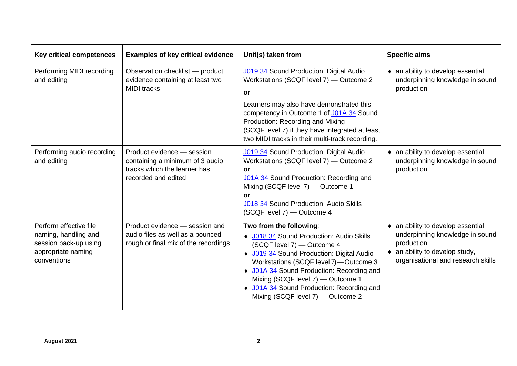| <b>Key critical competences</b>                                                                              | <b>Examples of key critical evidence</b>                                                                             | Unit(s) taken from                                                                                                                                                                                                                                                                                                                                          | <b>Specific aims</b>                                                                                                                                               |
|--------------------------------------------------------------------------------------------------------------|----------------------------------------------------------------------------------------------------------------------|-------------------------------------------------------------------------------------------------------------------------------------------------------------------------------------------------------------------------------------------------------------------------------------------------------------------------------------------------------------|--------------------------------------------------------------------------------------------------------------------------------------------------------------------|
| Performing MIDI recording<br>and editing                                                                     | Observation checklist - product<br>evidence containing at least two<br><b>MIDI</b> tracks                            | <b>J019 34</b> Sound Production: Digital Audio<br>Workstations (SCQF level 7) - Outcome 2<br>or                                                                                                                                                                                                                                                             | • an ability to develop essential<br>underpinning knowledge in sound<br>production                                                                                 |
|                                                                                                              |                                                                                                                      | Learners may also have demonstrated this<br>competency in Outcome 1 of J01A 34 Sound<br>Production: Recording and Mixing<br>(SCQF level 7) if they have integrated at least<br>two MIDI tracks in their multi-track recording.                                                                                                                              |                                                                                                                                                                    |
| Performing audio recording<br>and editing                                                                    | Product evidence - session<br>containing a minimum of 3 audio<br>tracks which the learner has<br>recorded and edited | <b>J019 34</b> Sound Production: Digital Audio<br>Workstations (SCQF level 7) - Outcome 2<br>or<br>J01A 34 Sound Production: Recording and<br>Mixing (SCQF level 7) - Outcome 1<br>or<br>J018 34 Sound Production: Audio Skills<br>(SCQF level 7) - Outcome 4                                                                                               | • an ability to develop essential<br>underpinning knowledge in sound<br>production                                                                                 |
| Perform effective file<br>naming, handling and<br>session back-up using<br>appropriate naming<br>conventions | Product evidence - session and<br>audio files as well as a bounced<br>rough or final mix of the recordings           | Two from the following:<br>◆ J018 34 Sound Production: Audio Skills<br>(SCQF level 7) - Outcome 4<br>◆ J019 34 Sound Production: Digital Audio<br>Workstations (SCQF level 7)-Outcome 3<br>♦ J01A 34 Sound Production: Recording and<br>Mixing (SCQF level 7) - Outcome 1<br>• J01A 34 Sound Production: Recording and<br>Mixing (SCQF level 7) - Outcome 2 | • an ability to develop essential<br>underpinning knowledge in sound<br>production<br>$\bullet$ an ability to develop study,<br>organisational and research skills |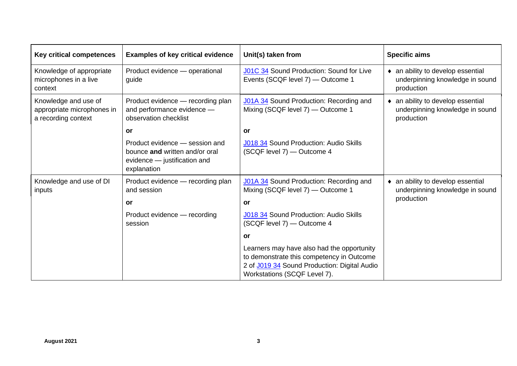| Key critical competences                                                  | <b>Examples of key critical evidence</b>                                                                        | Unit(s) taken from                                                                                                                                                      | <b>Specific aims</b>                                                               |
|---------------------------------------------------------------------------|-----------------------------------------------------------------------------------------------------------------|-------------------------------------------------------------------------------------------------------------------------------------------------------------------------|------------------------------------------------------------------------------------|
| Knowledge of appropriate<br>microphones in a live<br>context              | Product evidence - operational<br>guide                                                                         | J01C 34 Sound Production: Sound for Live<br>Events (SCQF level 7) - Outcome 1                                                                                           | • an ability to develop essential<br>underpinning knowledge in sound<br>production |
| Knowledge and use of<br>appropriate microphones in<br>a recording context | Product evidence - recording plan<br>and performance evidence -<br>observation checklist                        | J01A 34 Sound Production: Recording and<br>Mixing (SCQF level 7) - Outcome 1                                                                                            | • an ability to develop essential<br>underpinning knowledge in sound<br>production |
|                                                                           | or                                                                                                              | or                                                                                                                                                                      |                                                                                    |
|                                                                           | Product evidence - session and<br>bounce and written and/or oral<br>evidence - justification and<br>explanation | J018 34 Sound Production: Audio Skills<br>(SCQF level 7) - Outcome 4                                                                                                    |                                                                                    |
| Knowledge and use of DI<br>inputs                                         | Product evidence — recording plan<br>and session<br>or                                                          | J01A 34 Sound Production: Recording and<br>Mixing (SCQF level 7) - Outcome 1<br>or                                                                                      | • an ability to develop essential<br>underpinning knowledge in sound<br>production |
|                                                                           | Product evidence - recording<br>session                                                                         | J018 34 Sound Production: Audio Skills<br>(SCQF level 7) - Outcome 4                                                                                                    |                                                                                    |
|                                                                           |                                                                                                                 | or                                                                                                                                                                      |                                                                                    |
|                                                                           |                                                                                                                 | Learners may have also had the opportunity<br>to demonstrate this competency in Outcome<br>2 of J019 34 Sound Production: Digital Audio<br>Workstations (SCQF Level 7). |                                                                                    |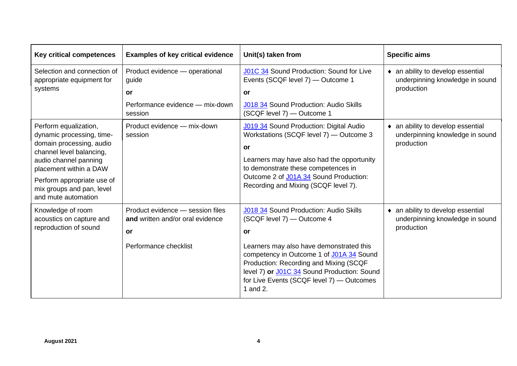| <b>Key critical competences</b>                                                                                                                                                                                                                 | <b>Examples of key critical evidence</b>                                                            | Unit(s) taken from                                                                                                                                                                                                                                                                                                   | <b>Specific aims</b>                                                               |
|-------------------------------------------------------------------------------------------------------------------------------------------------------------------------------------------------------------------------------------------------|-----------------------------------------------------------------------------------------------------|----------------------------------------------------------------------------------------------------------------------------------------------------------------------------------------------------------------------------------------------------------------------------------------------------------------------|------------------------------------------------------------------------------------|
| Selection and connection of<br>appropriate equipment for                                                                                                                                                                                        | Product evidence - operational<br>guide                                                             | J01C 34 Sound Production: Sound for Live<br>Events (SCQF level 7) - Outcome 1                                                                                                                                                                                                                                        | • an ability to develop essential<br>underpinning knowledge in sound               |
| systems                                                                                                                                                                                                                                         | or                                                                                                  | <b>or</b>                                                                                                                                                                                                                                                                                                            | production                                                                         |
|                                                                                                                                                                                                                                                 | Performance evidence - mix-down<br>session                                                          | J018 34 Sound Production: Audio Skills<br>(SCQF level 7) - Outcome 1                                                                                                                                                                                                                                                 |                                                                                    |
| Perform equalization,<br>dynamic processing, time-<br>domain processing, audio<br>channel level balancing,<br>audio channel panning<br>placement within a DAW<br>Perform appropriate use of<br>mix groups and pan, level<br>and mute automation | Product evidence - mix-down<br>session                                                              | <b>J019 34</b> Sound Production: Digital Audio<br>Workstations (SCQF level 7) - Outcome 3<br><b>or</b><br>Learners may have also had the opportunity<br>to demonstrate these competences in<br>Outcome 2 of J01A 34 Sound Production:<br>Recording and Mixing (SCQF level 7).                                        | • an ability to develop essential<br>underpinning knowledge in sound<br>production |
| Knowledge of room<br>acoustics on capture and<br>reproduction of sound                                                                                                                                                                          | Product evidence - session files<br>and written and/or oral evidence<br>or<br>Performance checklist | J018 34 Sound Production: Audio Skills<br>(SCQF level 7) - Outcome 4<br>or<br>Learners may also have demonstrated this<br>competency in Outcome 1 of J01A 34 Sound<br>Production: Recording and Mixing (SCQF<br>level 7) or J01C 34 Sound Production: Sound<br>for Live Events (SCQF level 7) - Outcomes<br>1 and 2. | • an ability to develop essential<br>underpinning knowledge in sound<br>production |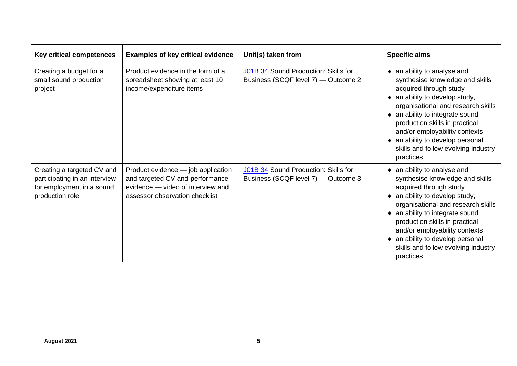| <b>Key critical competences</b>                                                                             | <b>Examples of key critical evidence</b>                                                                                                     | Unit(s) taken from                                                          | <b>Specific aims</b>                                                                                                                                                                                                                                                                                                                                           |
|-------------------------------------------------------------------------------------------------------------|----------------------------------------------------------------------------------------------------------------------------------------------|-----------------------------------------------------------------------------|----------------------------------------------------------------------------------------------------------------------------------------------------------------------------------------------------------------------------------------------------------------------------------------------------------------------------------------------------------------|
| Creating a budget for a<br>small sound production<br>project                                                | Product evidence in the form of a<br>spreadsheet showing at least 10<br>income/expenditure items                                             | J01B 34 Sound Production: Skills for<br>Business (SCQF level 7) - Outcome 2 | • an ability to analyse and<br>synthesise knowledge and skills<br>acquired through study<br>• an ability to develop study,<br>organisational and research skills<br>• an ability to integrate sound<br>production skills in practical<br>and/or employability contexts<br>• an ability to develop personal<br>skills and follow evolving industry<br>practices |
| Creating a targeted CV and<br>participating in an interview<br>for employment in a sound<br>production role | Product evidence - job application<br>and targeted CV and performance<br>evidence - video of interview and<br>assessor observation checklist | J01B 34 Sound Production: Skills for<br>Business (SCQF level 7) - Outcome 3 | • an ability to analyse and<br>synthesise knowledge and skills<br>acquired through study<br>• an ability to develop study,<br>organisational and research skills<br>• an ability to integrate sound<br>production skills in practical<br>and/or employability contexts<br>an ability to develop personal<br>skills and follow evolving industry<br>practices   |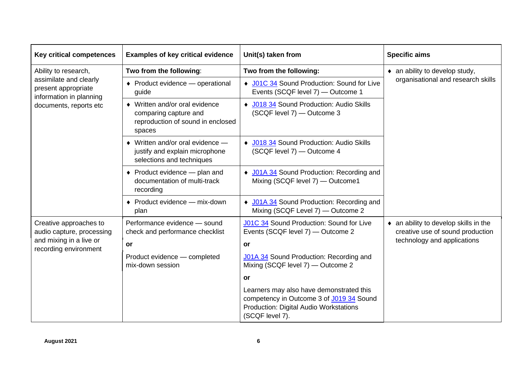| <b>Key critical competences</b>                                                                         | <b>Examples of key critical evidence</b>                                                                  | Unit(s) taken from                                                                                                                                       | <b>Specific aims</b>                                                                                     |
|---------------------------------------------------------------------------------------------------------|-----------------------------------------------------------------------------------------------------------|----------------------------------------------------------------------------------------------------------------------------------------------------------|----------------------------------------------------------------------------------------------------------|
| Ability to research,                                                                                    | Two from the following:                                                                                   | Two from the following:                                                                                                                                  | $\bullet$ an ability to develop study,                                                                   |
| assimilate and clearly<br>present appropriate<br>information in planning<br>documents, reports etc      | ♦ Product evidence – operational<br>guide                                                                 | ◆ J01C 34 Sound Production: Sound for Live<br>Events (SCQF level 7) - Outcome 1                                                                          | organisational and research skills                                                                       |
|                                                                                                         | • Written and/or oral evidence<br>comparing capture and<br>reproduction of sound in enclosed<br>spaces    | ◆ J018 34 Sound Production: Audio Skills<br>(SCQF level 7) - Outcome 3                                                                                   |                                                                                                          |
|                                                                                                         | $\bullet$ Written and/or oral evidence $-$<br>justify and explain microphone<br>selections and techniques | ◆ J018 34 Sound Production: Audio Skills<br>(SCQF level 7) - Outcome 4                                                                                   |                                                                                                          |
|                                                                                                         | ◆ Product evidence — plan and<br>documentation of multi-track<br>recording                                | • J01A 34 Sound Production: Recording and<br>Mixing (SCQF level 7) - Outcome1                                                                            |                                                                                                          |
|                                                                                                         | ◆ Product evidence — mix-down<br>plan                                                                     | ◆ J01A 34 Sound Production: Recording and<br>Mixing (SCQF Level 7) - Outcome 2                                                                           |                                                                                                          |
| Creative approaches to<br>audio capture, processing<br>and mixing in a live or<br>recording environment | Performance evidence - sound<br>check and performance checklist<br>or                                     | J01C 34 Sound Production: Sound for Live<br>Events (SCQF level 7) - Outcome 2<br>or                                                                      | • an ability to develop skills in the<br>creative use of sound production<br>technology and applications |
|                                                                                                         | Product evidence - completed<br>mix-down session                                                          | J01A 34 Sound Production: Recording and<br>Mixing (SCQF level 7) - Outcome 2                                                                             |                                                                                                          |
|                                                                                                         |                                                                                                           | or                                                                                                                                                       |                                                                                                          |
|                                                                                                         |                                                                                                           | Learners may also have demonstrated this<br>competency in Outcome 3 of J019 34 Sound<br><b>Production: Digital Audio Workstations</b><br>(SCQF level 7). |                                                                                                          |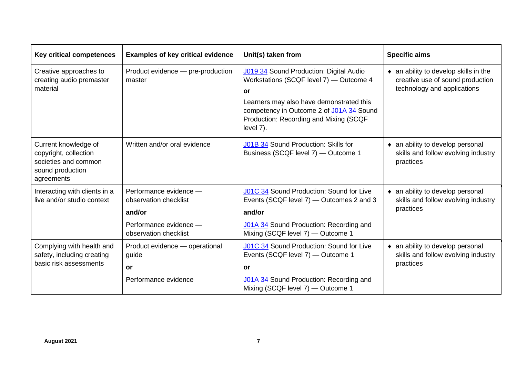| <b>Key critical competences</b>                                                                         | <b>Examples of key critical evidence</b>                                                                     | Unit(s) taken from                                                                                                                                                                                                                                | <b>Specific aims</b>                                                                                             |
|---------------------------------------------------------------------------------------------------------|--------------------------------------------------------------------------------------------------------------|---------------------------------------------------------------------------------------------------------------------------------------------------------------------------------------------------------------------------------------------------|------------------------------------------------------------------------------------------------------------------|
| Creative approaches to<br>creating audio premaster<br>material                                          | Product evidence - pre-production<br>master                                                                  | <b>J019 34</b> Sound Production: Digital Audio<br>Workstations (SCQF level 7) - Outcome 4<br>or<br>Learners may also have demonstrated this<br>competency in Outcome 2 of J01A 34 Sound<br>Production: Recording and Mixing (SCQF<br>level $7$ ). | $\bullet$ an ability to develop skills in the<br>creative use of sound production<br>technology and applications |
| Current knowledge of<br>copyright, collection<br>societies and common<br>sound production<br>agreements | Written and/or oral evidence                                                                                 | J01B 34 Sound Production: Skills for<br>Business (SCQF level 7) - Outcome 1                                                                                                                                                                       | • an ability to develop personal<br>skills and follow evolving industry<br>practices                             |
| Interacting with clients in a<br>live and/or studio context                                             | Performance evidence -<br>observation checklist<br>and/or<br>Performance evidence -<br>observation checklist | J01C 34 Sound Production: Sound for Live<br>Events (SCQF level 7) — Outcomes 2 and 3<br>and/or<br>J01A 34 Sound Production: Recording and<br>Mixing (SCQF level 7) - Outcome 1                                                                    | • an ability to develop personal<br>skills and follow evolving industry<br>practices                             |
| Complying with health and<br>safety, including creating<br>basic risk assessments                       | Product evidence - operational<br>guide<br>or<br>Performance evidence                                        | J01C 34 Sound Production: Sound for Live<br>Events (SCQF level 7) - Outcome 1<br>or<br>J01A 34 Sound Production: Recording and<br>Mixing (SCQF level 7) - Outcome 1                                                                               | • an ability to develop personal<br>skills and follow evolving industry<br>practices                             |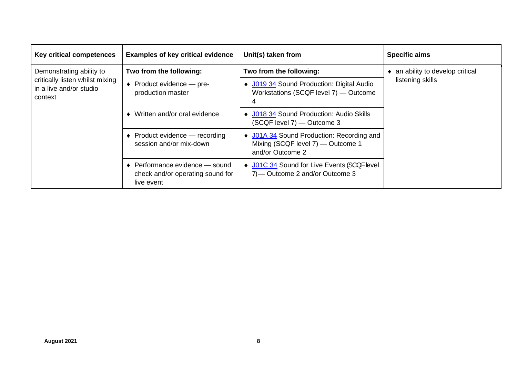| <b>Key critical competences</b>                                                                   | <b>Examples of key critical evidence</b>                                                   | Unit(s) taken from                                                                                 | <b>Specific aims</b>           |
|---------------------------------------------------------------------------------------------------|--------------------------------------------------------------------------------------------|----------------------------------------------------------------------------------------------------|--------------------------------|
| Demonstrating ability to<br>critically listen whilst mixing<br>in a live and/or studio<br>context | Two from the following:                                                                    | Two from the following:                                                                            | an ability to develop critical |
|                                                                                                   | ◆ Product evidence — pre-<br>production master                                             | ◆ J019 34 Sound Production: Digital Audio<br>Workstations (SCQF level 7) - Outcome<br>4            | listening skills               |
|                                                                                                   | Written and/or oral evidence                                                               | ◆ J018 34 Sound Production: Audio Skills<br>(SCQF level 7) - Outcome 3                             |                                |
|                                                                                                   | $\bullet$ Product evidence — recording<br>session and/or mix-down                          | ♦ J01A 34 Sound Production: Recording and<br>Mixing (SCQF level 7) — Outcome 1<br>and/or Outcome 2 |                                |
|                                                                                                   | $\bullet$ Performance evidence $-$ sound<br>check and/or operating sound for<br>live event | ♦ J01C 34 Sound for Live Events (SCQF level<br>7) — Outcome 2 and/or Outcome 3                     |                                |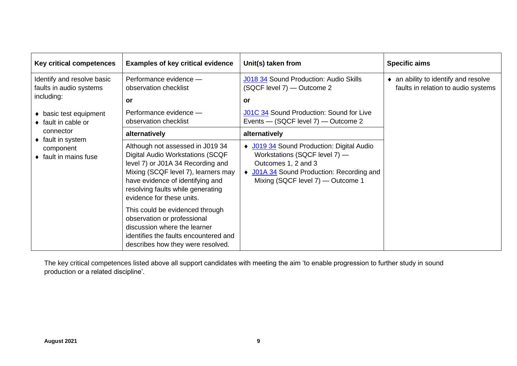| Key critical competences                                                                                                     | <b>Examples of key critical evidence</b>                                                                                                                                                                                                                      | Unit(s) taken from                                                                                                                                                                  | <b>Specific aims</b>                                                        |
|------------------------------------------------------------------------------------------------------------------------------|---------------------------------------------------------------------------------------------------------------------------------------------------------------------------------------------------------------------------------------------------------------|-------------------------------------------------------------------------------------------------------------------------------------------------------------------------------------|-----------------------------------------------------------------------------|
| Identify and resolve basic<br>faults in audio systems<br>including:<br>• basic test equipment<br>$\bullet$ fault in cable or | Performance evidence -<br>observation checklist<br>or<br>Performance evidence -<br>observation checklist                                                                                                                                                      | J018 34 Sound Production: Audio Skills<br>(SQCF level 7) — Outcome 2<br>or<br>J01C 34 Sound Production: Sound for Live<br>Events - (SQCF level 7) - Outcome 2                       | • an ability to identify and resolve<br>faults in relation to audio systems |
| connector                                                                                                                    | alternatively                                                                                                                                                                                                                                                 | alternatively                                                                                                                                                                       |                                                                             |
| $\bullet$ fault in system<br>component<br>$\bullet$ fault in mains fuse                                                      | Although not assessed in J019 34<br><b>Digital Audio Workstations (SCQF</b><br>level 7) or J01A 34 Recording and<br>Mixing (SCQF level 7), learners may<br>have evidence of identifying and<br>resolving faults while generating<br>evidence for these units. | ◆ J019 34 Sound Production: Digital Audio<br>Workstations (SQCF level 7) -<br>Outcomes 1, 2 and 3<br>• J01A 34 Sound Production: Recording and<br>Mixing (SQCF level 7) - Outcome 1 |                                                                             |
|                                                                                                                              | This could be evidenced through<br>observation or professional<br>discussion where the learner<br>identifies the faults encountered and<br>describes how they were resolved.                                                                                  |                                                                                                                                                                                     |                                                                             |

The key critical competences listed above all support candidates with meeting the aim 'to enable progression to further study in sound production or a related discipline'.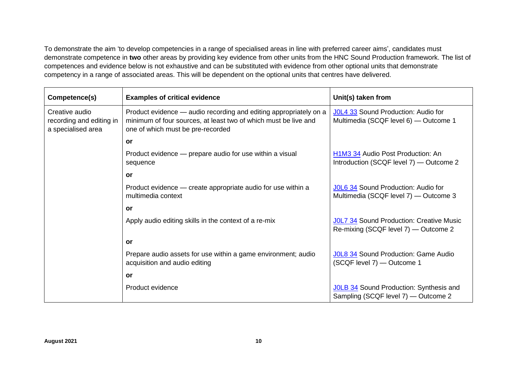To demonstrate the aim 'to develop competencies in a range of specialised areas in line with preferred career aims', candidates must demonstrate competence in **two** other areas by providing key evidence from other units from the HNC Sound Production framework. The list of competences and evidence below is not exhaustive and can be substituted with evidence from other optional units that demonstrate competency in a range of associated areas. This will be dependent on the optional units that centres have delivered.

| Competence(s)                                                    | <b>Examples of critical evidence</b>                                                                                                                                      | Unit(s) taken from                                                                                    |
|------------------------------------------------------------------|---------------------------------------------------------------------------------------------------------------------------------------------------------------------------|-------------------------------------------------------------------------------------------------------|
| Creative audio<br>recording and editing in<br>a specialised area | Product evidence — audio recording and editing appropriately on a<br>minimum of four sources, at least two of which must be live and<br>one of which must be pre-recorded | J0L4 33 Sound Production: Audio for<br>Multimedia (SCQF level 6) - Outcome 1                          |
|                                                                  | or                                                                                                                                                                        |                                                                                                       |
|                                                                  | Product evidence — prepare audio for use within a visual<br>sequence                                                                                                      | H <sub>1</sub> M <sub>3</sub> 34 Audio Post Production: An<br>Introduction (SCQF level 7) — Outcome 2 |
|                                                                  | or                                                                                                                                                                        |                                                                                                       |
|                                                                  | Product evidence - create appropriate audio for use within a<br>multimedia context                                                                                        | JOL6 34 Sound Production: Audio for<br>Multimedia (SCQF level 7) — Outcome 3                          |
|                                                                  | or                                                                                                                                                                        |                                                                                                       |
|                                                                  | Apply audio editing skills in the context of a re-mix                                                                                                                     | JOL7 34 Sound Production: Creative Music<br>Re-mixing (SCQF level 7) — Outcome 2                      |
|                                                                  | or                                                                                                                                                                        |                                                                                                       |
|                                                                  | Prepare audio assets for use within a game environment; audio<br>acquisition and audio editing                                                                            | JOL8 34 Sound Production: Game Audio<br>(SCQF level 7) - Outcome 1                                    |
|                                                                  | or                                                                                                                                                                        |                                                                                                       |
|                                                                  | Product evidence                                                                                                                                                          | JOLB 34 Sound Production: Synthesis and<br>Sampling (SCQF level 7) — Outcome 2                        |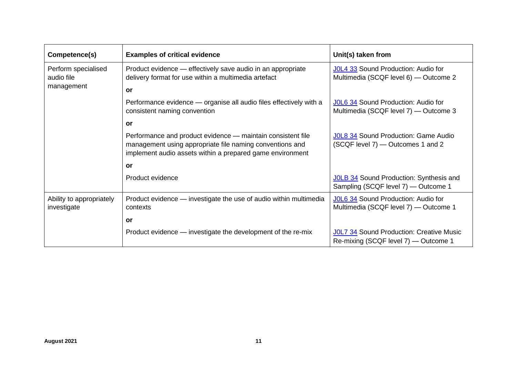| Competence(s)                           | <b>Examples of critical evidence</b>                                                                                                                                                 | Unit(s) taken from                                                               |
|-----------------------------------------|--------------------------------------------------------------------------------------------------------------------------------------------------------------------------------------|----------------------------------------------------------------------------------|
| Perform specialised<br>audio file       | Product evidence — effectively save audio in an appropriate<br>delivery format for use within a multimedia artefact                                                                  | J0L4 33 Sound Production: Audio for<br>Multimedia (SCQF level 6) — Outcome 2     |
| management                              | or                                                                                                                                                                                   |                                                                                  |
|                                         | Performance evidence — organise all audio files effectively with a<br>consistent naming convention                                                                                   | JOL6 34 Sound Production: Audio for<br>Multimedia (SCQF level 7) — Outcome 3     |
|                                         | or                                                                                                                                                                                   |                                                                                  |
|                                         | Performance and product evidence — maintain consistent file<br>management using appropriate file naming conventions and<br>implement audio assets within a prepared game environment | JOL8 34 Sound Production: Game Audio<br>(SCQF level 7) - Outcomes 1 and 2        |
|                                         | or                                                                                                                                                                                   |                                                                                  |
|                                         | Product evidence                                                                                                                                                                     | JOLB 34 Sound Production: Synthesis and<br>Sampling (SCQF level 7) - Outcome 1   |
| Ability to appropriately<br>investigate | Product evidence — investigate the use of audio within multimedia<br>contexts                                                                                                        | J0L6 34 Sound Production: Audio for<br>Multimedia (SCQF level 7) — Outcome 1     |
|                                         | or                                                                                                                                                                                   |                                                                                  |
|                                         | Product evidence - investigate the development of the re-mix                                                                                                                         | JOL7 34 Sound Production: Creative Music<br>Re-mixing (SCQF level 7) — Outcome 1 |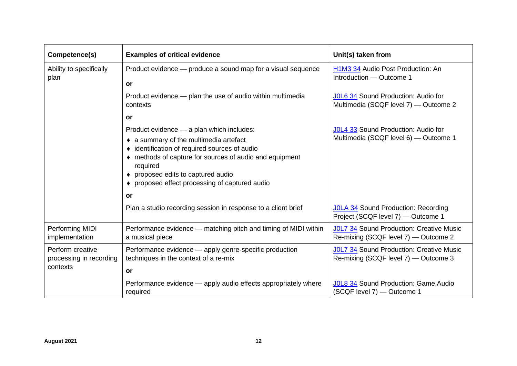| Competence(s)                                           | <b>Examples of critical evidence</b>                                                                                                                                                                                                                                                                                                                                 | Unit(s) taken from                                                                                                                                        |
|---------------------------------------------------------|----------------------------------------------------------------------------------------------------------------------------------------------------------------------------------------------------------------------------------------------------------------------------------------------------------------------------------------------------------------------|-----------------------------------------------------------------------------------------------------------------------------------------------------------|
| Ability to specifically<br>plan                         | Product evidence - produce a sound map for a visual sequence<br><b>or</b>                                                                                                                                                                                                                                                                                            | H1M3 34 Audio Post Production: An<br>Introduction - Outcome 1                                                                                             |
|                                                         | Product evidence - plan the use of audio within multimedia<br>contexts                                                                                                                                                                                                                                                                                               | J0L6 34 Sound Production: Audio for<br>Multimedia (SCQF level 7) - Outcome 2                                                                              |
|                                                         | or                                                                                                                                                                                                                                                                                                                                                                   |                                                                                                                                                           |
|                                                         | Product evidence - a plan which includes:<br>• a summary of the multimedia artefact<br>• identification of required sources of audio<br>methods of capture for sources of audio and equipment<br>required<br>proposed edits to captured audio<br>proposed effect processing of captured audio<br>or<br>Plan a studio recording session in response to a client brief | J0L4 33 Sound Production: Audio for<br>Multimedia (SCQF level 6) - Outcome 1<br>JOLA 34 Sound Production: Recording<br>Project (SCQF level 7) - Outcome 1 |
| Performing MIDI                                         | Performance evidence - matching pitch and timing of MIDI within                                                                                                                                                                                                                                                                                                      | <b>JOL7 34 Sound Production: Creative Music</b>                                                                                                           |
| implementation                                          | a musical piece                                                                                                                                                                                                                                                                                                                                                      | Re-mixing (SCQF level 7) - Outcome 2                                                                                                                      |
| Perform creative<br>processing in recording<br>contexts | Performance evidence - apply genre-specific production<br>techniques in the context of a re-mix<br>or                                                                                                                                                                                                                                                                | <b>JOL7 34 Sound Production: Creative Music</b><br>Re-mixing (SCQF level 7) — Outcome 3                                                                   |
|                                                         | Performance evidence — apply audio effects appropriately where<br>required                                                                                                                                                                                                                                                                                           | JOL8 34 Sound Production: Game Audio<br>(SCQF level 7) — Outcome 1                                                                                        |